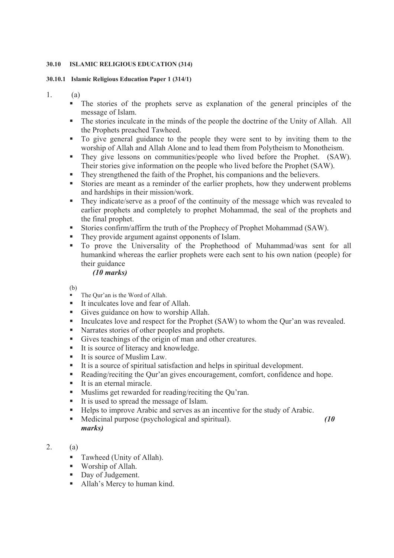## **30.10 ISLAMIC RELIGIOUS EDUCATION (314)**

## **30.10.1 Islamic Religious Education Paper 1 (314/1)**

1. (a)

- The stories of the prophets serve as explanation of the general principles of the message of Islam.
- The stories inculcate in the minds of the people the doctrine of the Unity of Allah. All the Prophets preached Tawheed.
- To give general guidance to the people they were sent to by inviting them to the worship of Allah and Allah Alone and to lead them from Polytheism to Monotheism.
- They give lessons on communities/people who lived before the Prophet. (SAW). Their stories give information on the people who lived before the Prophet (SAW).
- They strengthened the faith of the Prophet, his companions and the believers.
- Stories are meant as a reminder of the earlier prophets, how they underwent problems and hardships in their mission/work.
- They indicate/serve as a proof of the continuity of the message which was revealed to earlier prophets and completely to prophet Mohammad, the seal of the prophets and the final prophet.
- Stories confirm/affirm the truth of the Prophecy of Prophet Mohammad (SAW).
- They provide argument against opponents of Islam.
- To prove the Universality of the Prophethood of Muhammad/was sent for all humankind whereas the earlier prophets were each sent to his own nation (people) for their guidance

## *(10 marks)*

(b)

- The Our'an is the Word of Allah.
- It inculcates love and fear of Allah.
- Gives guidance on how to worship Allah.
- Inculcates love and respect for the Prophet (SAW) to whom the Qur'an was revealed.
- Narrates stories of other peoples and prophets.
- Gives teachings of the origin of man and other creatures.
- It is source of literacy and knowledge.
- $\blacksquare$  It is source of Muslim Law.
- It is a source of spiritual satisfaction and helps in spiritual development.
- Reading/reciting the Our'an gives encouragement, comfort, confidence and hope.
- $\blacksquare$  It is an eternal miracle.
- Muslims get rewarded for reading/reciting the Qu'ran.
- It is used to spread the message of Islam.
- Helps to improve Arabic and serves as an incentive for the study of Arabic.
- Medicinal purpose (psychological and spiritual). *(10*  $\blacksquare$ *marks)*

# 2. (a)

- Tawheed (Unity of Allah).
- Worship of Allah.
- Day of Judgement.
- Allah's Mercy to human kind.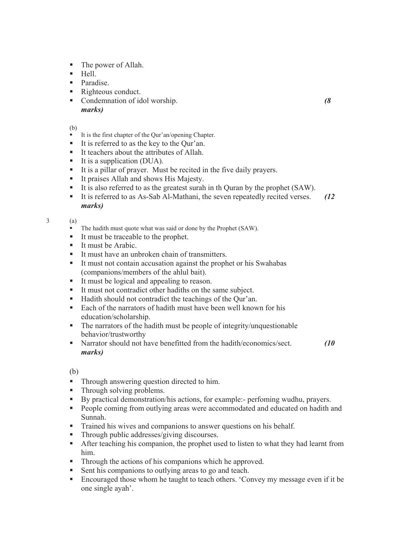- The power of Allah.
- Hell.
- **Paradise.**
- Righteous conduct.
- Condemnation of idol worship. *(8 marks)*

- It is the first chapter of the Our'an/opening Chapter.
- It is referred to as the key to the Our'an.
- $\blacksquare$  It teachers about the attributes of Allah.
- $\blacksquare$  It is a supplication (DUA).
- It is a pillar of prayer. Must be recited in the five daily prayers.
- It praises Allah and shows His Majesty.
- It is also referred to as the greatest surah in th Ouran by the prophet (SAW).
- It is referred to as As-Sab Al-Mathani, the seven repeatedly recited verses. *(12 marks)*

3 (a)

- The hadith must quote what was said or done by the Prophet (SAW).
- It must be traceable to the prophet.
- $I$  It must be Arabic.
- It must have an unbroken chain of transmitters.
- It must not contain accusation against the prophet or his Swahabas (companions/members of the ahlul bait).
- It must be logical and appealing to reason.
- It must not contradict other hadiths on the same subject.
- Hadith should not contradict the teachings of the Qur'an.
- Each of the narrators of hadith must have been well known for his education/scholarship.
- The narrators of the hadith must be people of integrity/unquestionable behavior/trustworthy
- Narrator should not have benefitted from the hadith/economics/sect. *(10 (10) marks)*

(b)

- Through answering question directed to him.
- Through solving problems.
- By practical demonstration/his actions, for example:- perfoming wudhu, prayers.
- **People coming from outlying areas were accommodated and educated on hadith and** Sunnah.
- Trained his wives and companions to answer questions on his behalf.<br>■ Through public addresses/giving discourses
- Through public addresses/giving discourses.
- After teaching his companion, the prophet used to listen to what they had learnt from him.
- Through the actions of his companions which he approved.
- Sent his companions to outlying areas to go and teach.
- Encouraged those whom he taught to teach others. 'Convey my message even if it be one single ayah'.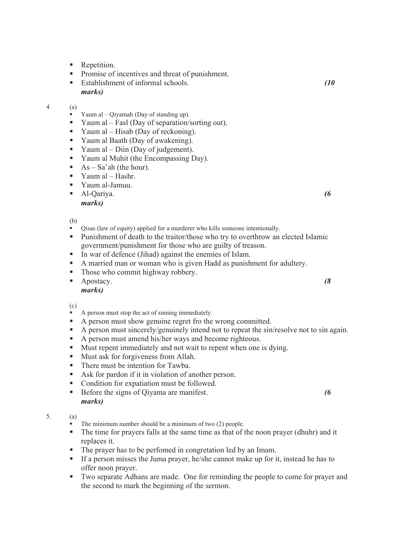- Repetition.
- **Promise of incentives and threat of punishment.**
- Establishment of informal schools. *(10 marks)*

- Yaum al Qiyamah (Day of standing up).
- Yaum al Fasl (Day of separation/sorting out).
- Yaum al Hisab (Day of reckoning).
- Yaum al Baath (Day of awakening).
- Yaum al Diin (Day of judgement).
- Yaum al Muhit (the Encompassing Day).
- $As Sa'ah$  (the hour).
- Yaum al  $-$  Hashr.
- Yaum al-Jamuu.
- Al-Qariya. *(6 marks)*

- Qisas (law of equity) applied for a murderer who kills someone intentionally.
- Punishment of death to the traitor/those who try to overthrow an elected Islamic government/punishment for those who are guilty of treason.
- In war of defence (Jihad) against the enemies of Islam.
- A married man or woman who is given Hadd as punishment for adultery.
- Those who commit highway robbery.
- Apostacy. *(8 marks)*

(c)

- A person must stop the act of sinning immediately.
- A person must show genuine regret fro the wrong committed.
- A person must sincerely/genuinely intend not to repeat the sin/resolve not to sin again.
- A person must amend his/her ways and become righteous.
- Must repent immediately and not wait to repent when one is dying.
- Must ask for forgiveness from Allah.
- There must be intention for Tawba.
- Ask for pardon if it in violation of another person.
- Condition for expatiation must be followed.
- Before the signs of Qiyama are manifest. *(6 marks)*

- The minimum number should be a minimum of two (2) people.
- The time for prayers falls at the same time as that of the noon prayer (dhuhr) and it replaces it.
- The prayer has to be perfomed in congretation led by an Imam.
- If a person misses the Juma prayer, he/she cannot make up for it, instead he has to offer noon prayer.
- Two separate Adhans are made. One for reminding the people to come for prayer and the second to mark the beginning of the sermon.

<sup>4 (</sup>a)

<sup>5. (</sup>a)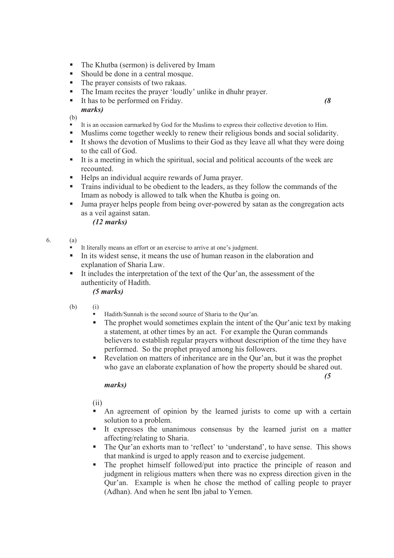- The Khutba (sermon) is delivered by Imam
- Should be done in a central mosque.
- The prayer consists of two rakaas.
- The Imam recites the prayer 'loudly' unlike in dhuhr prayer.<br>It has to be nerformed on Friday
- It has to be performed on Friday. *(8 marks)*

- It is an occasion earmarked by God for the Muslims to express their collective devotion to Him.
- Muslims come together weekly to renew their religious bonds and social solidarity.
- It shows the devotion of Muslims to their God as they leave all what they were doing to the call of God.
- It is a meeting in which the spiritual, social and political accounts of the week are recounted.
- Helps an individual acquire rewards of Juma prayer.
- Trains individual to be obedient to the leaders, as they follow the commands of the Imam as nobody is allowed to talk when the Khutba is going on.
- If Juma prayer helps people from being over-powered by satan as the congregation acts as a veil against satan.

*(12 marks)*

### 6. (a)

- It literally means an effort or an exercise to arrive at one's judgment.
- In its widest sense, it means the use of human reason in the elaboration and explanation of Sharia Law.
- It includes the interpretation of the text of the Qur'an, the assessment of the authenticity of Hadith.

## *(5 marks)*

- (b) (i)
	- Hadith/Sunnah is the second source of Sharia to the Qur'an.
	- The prophet would sometimes explain the intent of the Qur'anic text by making a statement, at other times by an act. For example the Quran commands believers to establish regular prayers without description of the time they have performed. So the prophet prayed among his followers.
	- Revelation on matters of inheritance are in the Qur'an, but it was the prophet who gave an elaborate explanation of how the property should be shared out.

*(5* 

## *marks)*

(ii)

- An agreement of opinion by the learned jurists to come up with a certain solution to a problem.
- It expresses the unanimous consensus by the learned jurist on a matter affecting/relating to Sharia.
- The Our'an exhorts man to 'reflect' to 'understand', to have sense. This shows that mankind is urged to apply reason and to exercise judgement.
- The prophet himself followed/put into practice the principle of reason and judgment in religious matters when there was no express direction given in the Qur'an. Example is when he chose the method of calling people to prayer (Adhan). And when he sent Ibn jabal to Yemen.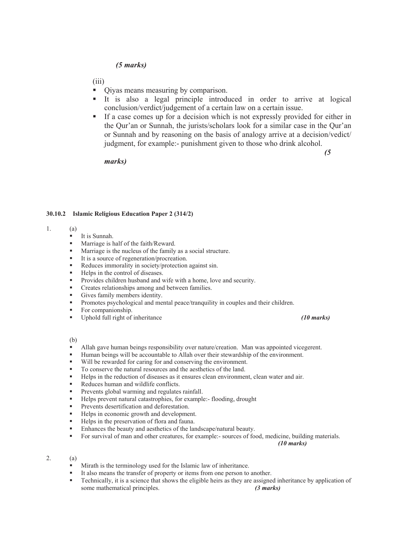## *(5 marks)*

(iii)

- Qiyas means measuring by comparison.
- It is also a legal principle introduced in order to arrive at logical conclusion/verdict/judgement of a certain law on a certain issue.
- If a case comes up for a decision which is not expressly provided for either in the Qur'an or Sunnah, the jurists/scholars look for a similar case in the Qur'an or Sunnah and by reasoning on the basis of analogy arrive at a decision/vedict/ judgment, for example:- punishment given to those who drink alcohol.

### *marks)*

*(5* 

### **30.10.2 Islamic Religious Education Paper 2 (314/2)**

- 1. (a)
	- $I$  It is Sunnah.
	- **Marriage is half of the faith/Reward.**
	- Marriage is the nucleus of the family as a social structure.
	- It is a source of regeneration/procreation.<br>■ Reduces immorality in society/protection
	- Reduces immorality in society/protection against sin.
	- Helps in the control of diseases.
	- **Provides children husband and wife with a home, love and security.**
	- **•** Creates relationships among and between families.
	- Gives family members identity.
	- Promotes psychological and mental peace/tranquility in couples and their children.
	- For companionship.<br>Inches  $\frac{1}{2}$  Inches  $\frac{1}{2}$  Inches Eq. 1.
	- Uphold full right of inheritance *(10 marks)*

(b)

- Allah gave human beings responsibility over nature/creation. Man was appointed vicegerent.
- Human beings will be accountable to Allah over their stewardship of the environment.
- Will be rewarded for caring for and conserving the environment.
- To conserve the natural resources and the aesthetics of the land.
- Helps in the reduction of diseases as it ensures clean environment, clean water and air.
- Reduces human and wildlife conflicts.
- **Prevents global warming and regulates rainfall.**
- Helps prevent natural catastrophies, for example:- flooding, drought
- **Prevents desertification and deforestation.**
- Helps in economic growth and development.
- Helps in the preservation of flora and fauna.
- **Enhances the beauty and aesthetics of the landscape/natural beauty.**
- For survival of man and other creatures, for example:- sources of food, medicine, building materials.

*(10 marks)*

### 2. (a)

- Mirath is the terminology used for the Islamic law of inheritance.
- It also means the transfer of property or items from one person to another.
- Technically, it is a science that shows the eligible heirs as they are assigned inheritance by application of some mathematical principles. *(3 marks)*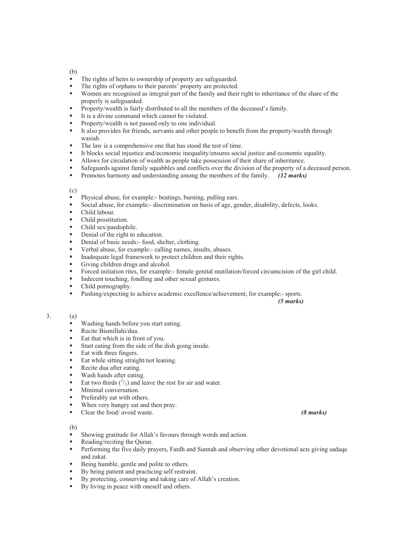- The rights of heirs to ownership of property are safeguarded.
- The rights of orphans to their parents' property are protected.<br>Women are recognised as integral part of the family and their
- Women are recognised as integral part of the family and their right to inheritance of the share of the properly is safeguarded.
- **Property/wealth is fairly distributed to all the members of the deceased's family.**
- It is a divine command which cannot be violated.
- **Property/wealth is not passed only to one individual.**
- It also provides for friends, servants and other people to benefit from the property/wealth through wasiah.
- The law is a comprehensive one that has stood the test of time.
- It blocks social injustice and/economic inequality/ensures social justice and economic equality.
- Allows for circulation of wealth as people take possession of their share of inheritance.
- Safeguards against family squabbles and conflicts over the division of the property of a deceased person.
- Promotes harmony and understanding among the members of the family. *(12 marks)*

### (c)

- Physical abuse, for example:- beatings, burning, pulling ears.
- Social abuse, for example:- discrimination on basis of age, gender, disability, defects, looks.
- Child labour.
- Child prostitution.
- Child sex/paedophile.
- Denial of the right to education.
- Denial of basic needs:- food, shelter, clothing.
- verbal abuse, for example:- calling names, insults, abuses.<br>Insulate legal framework to protect children and their river
- Inadequate legal framework to protect children and their rights.<br>
Giving children drugs and alcohol
- Giving children drugs and alcohol.
- Forced initiation rites, for example:- female genital mutilation/forced circumcision of the girl child.
- Indecent touching, fondling and other sexual gestures.
- Child pornography.
- Pushing/expecting to achieve academic excellence/achievement, for example:- sports.

*(5 marks)*

#### 3. (a)

- Washing hands before you start eating.
- **Recite Bismillahi/dua.**
- Eat that which is in front of you.
- Start eating from the side of the dish going inside.
- Eat with three fingers.
- Eat while sitting straight/not leaning.
- Recite dua after eating.
- **Wash hands after eating.**
- Eat two thirds  $\binom{2}{3}$  and leave the rest for air and water.
- Minimal conversation.
- **Preferably eat with others.**
- When very hungry eat and then pray.
- Clear the food/ avoid waste. *(8 marks)*

### (b)

- Showing gratitude for Allah's favours through words and action.
- Reading/reciting the Quran.
- Performing the five daily prayers, Fardh and Sunnah and observing other devotional acts giving sadaqa and zakat.
- Being humble, gentle and polite to others.
- By being patient and practicing self restraint.
- By protecting, conserving and taking care of Allah's creation.
- By living in peace with oneself and others.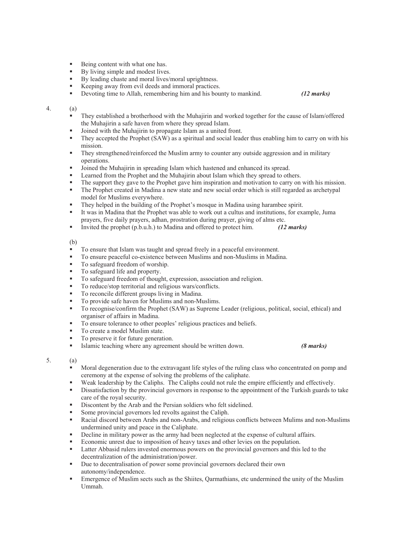- Being content with what one has.
- $\blacksquare$  By living simple and modest lives.
- By leading chaste and moral lives/moral uprightness.
- Keeping away from evil deeds and immoral practices.<br>Devoting time to Allah remembering him and his bou
- Devoting time to Allah, remembering him and his bounty to mankind. *(12 marks)*

### 4. (a)

- They established a brotherhood with the Muhajirin and worked together for the cause of Islam/offered the Muhajirin a safe haven from where they spread Islam.
- Joined with the Muhajirin to propagate Islam as a united front.
- They accepted the Prophet (SAW) as a spiritual and social leader thus enabling him to carry on with his mission.
- They strengthened/reinforced the Muslim army to counter any outside aggression and in military operations.
- Joined the Muhajirin in spreading Islam which hastened and enhanced its spread.
- Learned from the Prophet and the Muhajirin about Islam which they spread to others.
- The support they gave to the Prophet gave him inspiration and motivation to carry on with his mission.
- The Prophet created in Madina a new state and new social order which is still regarded as archetypal model for Muslims everywhere.
- They helped in the building of the Prophet's mosque in Madina using harambee spirit.
- It was in Madina that the Prophet was able to work out a cultus and institutions, for example, Juma prayers, five daily prayers, adhan, prostration during prayer, giving of alms etc.
- Invited the prophet (p.b.u.h.) to Madina and offered to protect him. *(12 marks)*

### (b)

- To ensure that Islam was taught and spread freely in a peaceful environment.
- To ensure peaceful co-existence between Muslims and non-Muslims in Madina.
- To safeguard freedom of worship.
- $\blacksquare$  To safeguard life and property.
- To safeguard freedom of thought, expression, association and religion.
- To reduce/stop territorial and religious wars/conflicts.
- To reconcile different groups living in Madina.
- To provide safe haven for Muslims and non-Muslims.
- To recognise/confirm the Prophet (SAW) as Supreme Leader (religious, political, social, ethical) and organiser of affairs in Madina.
- To ensure tolerance to other peoples' religious practices and beliefs.
- To create a model Muslim state.
- To preserve it for future generation.<br>
Islamic teaching where any agreement
- Islamic teaching where any agreement should be written down. *(8 marks)*

### 5. (a)

- Moral degeneration due to the extravagant life styles of the ruling class who concentrated on pomp and ceremony at the expense of solving the problems of the caliphate.
- Weak leadership by the Caliphs. The Caliphs could not rule the empire efficiently and effectively.
- Dissatisfaction by the provincial governors in response to the appointment of the Turkish guards to take care of the royal security.
- Discontent by the Arab and the Persian soldiers who felt sidelined.
- Some provincial governors led revolts against the Caliph.
- Racial discord between Arabs and non-Arabs, and religious conflicts between Mulims and non-Muslims undermined unity and peace in the Caliphate.
- Decline in military power as the army had been neglected at the expense of cultural affairs.
- Economic unrest due to imposition of heavy taxes and other levies on the population.
- **Latter Abbasid rulers invested enormous powers on the provincial governors and this led to the** decentralization of the administration/power.
- Due to decentralisation of power some provincial governors declared their own autonomy/independence.
- Emergence of Muslim sects such as the Shiites, Qarmathians, etc undermined the unity of the Muslim Ummah.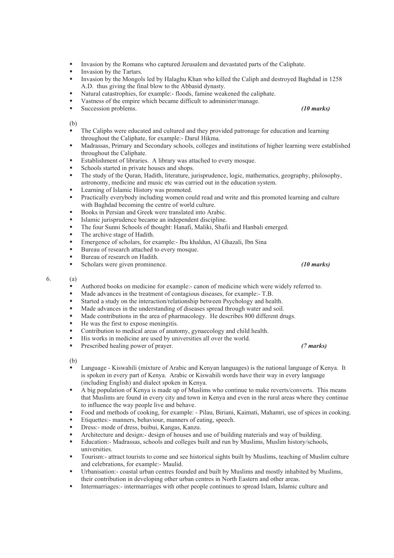- Invasion by the Romans who captured Jerusalem and devastated parts of the Caliphate.
- Invasion by the Tartars.
- Invasion by the Mongols led by Halaghu Khan who killed the Caliph and destroyed Baghdad in 1258 A.D. thus giving the final blow to the Abbasid dynasty.
- Natural catastrophies, for example:- floods, famine weakened the caliphate.
- Vastness of the empire which became difficult to administer/manage.
- Succession problems. *(10 marks)*

- The Caliphs were educated and cultured and they provided patronage for education and learning throughout the Caliphate, for example:- Darul Hikma.
- Madrassas, Primary and Secondary schools, colleges and institutions of higher learning were established throughout the Caliphate.
- Establishment of libraries. A library was attached to every mosque.
- Schools started in private houses and shops.
- The study of the Quran, Hadith, literature, jurisprudence, logic, mathematics, geography, philosophy, astronomy, medicine and music etc was carried out in the education system.
- Learning of Islamic History was promoted.
- Practically everybody including women could read and write and this promoted learning and culture with Baghdad becoming the centre of world culture.
- Books in Persian and Greek were translated into Arabic.
- Islamic jurisprudence became an independent discipline.
- The four Sunni Schools of thought: Hanafi, Maliki, Shafii and Hanbali emerged.
- The archive stage of Hadith.
- Emergence of scholars, for example:- Ibu khaldun, Al Ghazali, Ibn Sina<br>Bureau of research attached to every mosque
- Bureau of research attached to every mosque.<br>Bureau of research on Hodith
- Bureau of research on Hadith.
- Scholars were given prominence. *(10 marks)*

#### 6. (a)

- Authored books on medicine for example:- canon of medicine which were widely referred to.
- Made advances in the treatment of contagious diseases, for example:- T.B.
- Started a study on the interaction/relationship between Psychology and health.
- Made advances in the understanding of diseases spread through water and soil.
- Made contributions in the area of pharmacology. He describes 800 different drugs.
- He was the first to expose meningitis.
- Contribution to medical areas of anatomy, gynaecology and child health.
- His works in medicine are used by universities all over the world.<br>■ Prescribed bealing power of prayer
- Prescribed healing power of prayer. *(7 marks)*

(b)

- Language Kiswahili (mixture of Arabic and Kenyan languages) is the national language of Kenya. It is spoken in every part of Kenya. Arabic or Kiswahili words have their way in every language (including English) and dialect spoken in Kenya.
- A big population of Kenya is made up of Muslims who continue to make reverts/converts. This means that Muslims are found in every city and town in Kenya and even in the rural areas where they continue to influence the way people live and behave.
- Food and methods of cooking, for example: Pilau, Biriani, Kaimati, Mahamri, use of spices in cooking.
- Etiquettes:- manners, behaviour, manners of eating, speech.
- Dress:- mode of dress, buibui, Kangas, Kanzu.
- Architecture and design:- design of houses and use of building materials and way of building.
- Education:- Madrassas, schools and colleges built and run by Muslims, Muslim history/schools, universities.
- Tourism:- attract tourists to come and see historical sights built by Muslims, teaching of Muslim culture and celebrations, for example:- Maulid.
- Urbanisation:- coastal urban centres founded and built by Muslims and mostly inhabited by Muslims, their contribution in developing other urban centres in North Eastern and other areas.
- Intermarriages:- intermarriages with other people continues to spread Islam, Islamic culture and